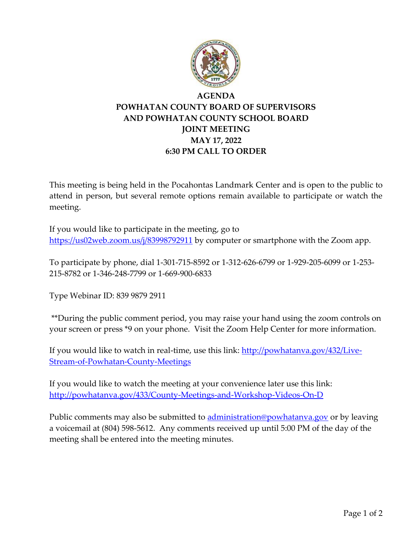

## **AGENDA POWHATAN COUNTY BOARD OF SUPERVISORS AND POWHATAN COUNTY SCHOOL BOARD JOINT MEETING MAY 17, 2022 6:30 PM CALL TO ORDER**

This meeting is being held in the Pocahontas Landmark Center and is open to the public to attend in person, but several remote options remain available to participate or watch the meeting.

If you would like to participate in the meeting, go to <https://us02web.zoom.us/j/83998792911> by computer or smartphone with the Zoom app.

To participate by phone, dial 1-301-715-8592 or 1-312-626-6799 or 1-929-205-6099 or 1-253- 215-8782 or 1-346-248-7799 or 1-669-900-6833

Type Webinar ID: 839 9879 2911

\*\*During the public comment period, you may raise your hand using the zoom controls on your screen or press \*9 on your phone. Visit the [Zoom Help Center](https://support.zoom.us/hc/en-us/articles/200941109-Attendee-Controls-in-a-Meeting) for more information.

If you would like to watch in real-time, use this link: [http://powhatanva.gov/432/Live-](http://powhatanva.gov/432/Live-Stream-of-Powhatan-County-Meetings)[Stream-of-Powhatan-County-Meetings](http://powhatanva.gov/432/Live-Stream-of-Powhatan-County-Meetings)

If you would like to watch the meeting at your convenience later use this link: <http://powhatanva.gov/433/County-Meetings-and-Workshop-Videos-On-D>

Public comments may also be submitted to [administration@powhatanva.gov](mailto:administration@powhatanva.gov) or by leaving a voicemail at (804) 598-5612. Any comments received up until 5:00 PM of the day of the meeting shall be entered into the meeting minutes.